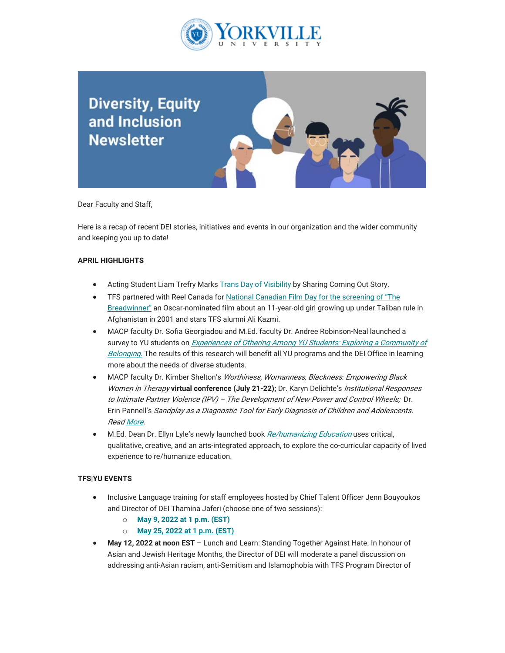

# **Diversity, Equity** and Inclusion **Newsletter**

Dear Faculty and Staff,

Here is a recap of recent DEI stories, initiatives and events in our organization and the wider community and keeping you up to date!

### **APRIL HIGHLIGHTS**

- Acting Student Liam Trefry Marks [Trans Day of Visibility](https://can01.safelinks.protection.outlook.com/?url=https%3A%2F%2Fwww.torontofilmschool.ca%2Fblog%2Fguest-article-acting-student-liam-trefry-marks-trans-day-of-visibility-by-sharing-coming-out-story%2F&data=05%7C01%7Cmfraser%40yorkvilleu.ca%7Cbeed522e56a043eae48b08da4d6034e6%7C8e5c33be6efe45efb1956787de8fd649%7C0%7C0%7C637907372834028703%7CUnknown%7CTWFpbGZsb3d8eyJWIjoiMC4wLjAwMDAiLCJQIjoiV2luMzIiLCJBTiI6Ik1haWwiLCJXVCI6Mn0%3D%7C3000%7C%7C%7C&sdata=ek8VhG216bGZSpuSIlP446T3LR6ecyNxXwaZAWvJ8Ts%3D&reserved=0) by Sharing Coming Out Story.
- TFS partnered with Reel Canada for [National Canadian Film Day for the screening of "The](https://can01.safelinks.protection.outlook.com/?url=https%3A%2F%2Fwww.torontofilmschool.ca%2Fblog%2Fcelebrate-national-canadian-film-day-with-virtual-screening-of-the-breadwinner%2F%25C2%25A0&data=05%7C01%7Cmfraser%40yorkvilleu.ca%7Cbeed522e56a043eae48b08da4d6034e6%7C8e5c33be6efe45efb1956787de8fd649%7C0%7C0%7C637907372834028703%7CUnknown%7CTWFpbGZsb3d8eyJWIjoiMC4wLjAwMDAiLCJQIjoiV2luMzIiLCJBTiI6Ik1haWwiLCJXVCI6Mn0%3D%7C3000%7C%7C%7C&sdata=13YWR38potmtA%2BMO69tRVWzY1n3slxDWDXL%2BMUzJmZQ%3D&reserved=0) [Breadwinner"](https://can01.safelinks.protection.outlook.com/?url=https%3A%2F%2Fwww.torontofilmschool.ca%2Fblog%2Fcelebrate-national-canadian-film-day-with-virtual-screening-of-the-breadwinner%2F%25C2%25A0&data=05%7C01%7Cmfraser%40yorkvilleu.ca%7Cbeed522e56a043eae48b08da4d6034e6%7C8e5c33be6efe45efb1956787de8fd649%7C0%7C0%7C637907372834028703%7CUnknown%7CTWFpbGZsb3d8eyJWIjoiMC4wLjAwMDAiLCJQIjoiV2luMzIiLCJBTiI6Ik1haWwiLCJXVCI6Mn0%3D%7C3000%7C%7C%7C&sdata=13YWR38potmtA%2BMO69tRVWzY1n3slxDWDXL%2BMUzJmZQ%3D&reserved=0) an Oscar-nominated film about an 11-year-old girl growing up under Taliban rule in Afghanistan in 2001 and stars TFS alumni Ali Kazmi.
- MACP faculty Dr. Sofia Georgiadou and M.Ed. faculty Dr. Andree Robinson-Neal launched a survey to YU students on *Experiences of Othering Among YU Students: Exploring a Community of* [Belonging.](https://can01.safelinks.protection.outlook.com/?url=https%3A%2F%2Fwww.yorkvilleu.ca%2Fmacp-faculty-elated-to-receive-28k-in-support-for-scholarly-activities-funding%2F%25C2%25A0&data=05%7C01%7Cmfraser%40yorkvilleu.ca%7Cbeed522e56a043eae48b08da4d6034e6%7C8e5c33be6efe45efb1956787de8fd649%7C0%7C0%7C637907372834028703%7CUnknown%7CTWFpbGZsb3d8eyJWIjoiMC4wLjAwMDAiLCJQIjoiV2luMzIiLCJBTiI6Ik1haWwiLCJXVCI6Mn0%3D%7C3000%7C%7C%7C&sdata=tfikBDFyUrUrHYG%2Bcpj00uPcYmdK7RJVg2x3cWI1uhY%3D&reserved=0) The results of this research will benefit all YU programs and the DEI Office in learning more about the needs of diverse students.
- MACP faculty Dr. Kimber Shelton's Worthiness, Womanness, Blackness: Empowering Black Women in Therapy **virtual conference (July 21-22);** Dr. Karyn Delichte's Institutional Responses to Intimate Partner Violence (IPV) – The Development of New Power and Control Wheels; Dr. Erin Pannell's Sandplay as a Diagnostic Tool for Early Diagnosis of Children and Adolescents. Rea[d More.](https://can01.safelinks.protection.outlook.com/?url=https%3A%2F%2Fwww.yorkvilleu.ca%2Fmacp-faculty-elated-to-receive-28k-in-support-for-scholarly-activities-funding%2F%25C2%25A0&data=05%7C01%7Cmfraser%40yorkvilleu.ca%7Cbeed522e56a043eae48b08da4d6034e6%7C8e5c33be6efe45efb1956787de8fd649%7C0%7C0%7C637907372834028703%7CUnknown%7CTWFpbGZsb3d8eyJWIjoiMC4wLjAwMDAiLCJQIjoiV2luMzIiLCJBTiI6Ik1haWwiLCJXVCI6Mn0%3D%7C3000%7C%7C%7C&sdata=tfikBDFyUrUrHYG%2Bcpj00uPcYmdK7RJVg2x3cWI1uhY%3D&reserved=0)
- M.Ed. Dean Dr. Ellyn Lyle's newly launched book [Re/humanizing Education](https://can01.safelinks.protection.outlook.com/?url=https%3A%2F%2Fwww.yorkvilleu.ca%2Fyorkvilles-dr-ellyn-lyle-publishes-her-10th-book-re-humanizing-education%2F&data=05%7C01%7Cmfraser%40yorkvilleu.ca%7Cbeed522e56a043eae48b08da4d6034e6%7C8e5c33be6efe45efb1956787de8fd649%7C0%7C0%7C637907372834028703%7CUnknown%7CTWFpbGZsb3d8eyJWIjoiMC4wLjAwMDAiLCJQIjoiV2luMzIiLCJBTiI6Ik1haWwiLCJXVCI6Mn0%3D%7C3000%7C%7C%7C&sdata=kjSpXjEZpyiIbnHEcen4bhB6zfibthj4gkkKkAKeTAU%3D&reserved=0) uses critical, qualitative, creative, and an arts-integrated approach, to explore the co-curricular capacity of lived experience to re/humanize education.

### **TFS|YU EVENTS**

- Inclusive Language training for staff employees hosted by Chief Talent Officer Jenn Bouyoukos and Director of DEI Thamina Jaferi (choose one of two sessions):
	- o **[May 9, 2022 at](https://can01.safelinks.protection.outlook.com/?url=https%3A%2F%2Fyorkvilleu-tfs.zoom.us%2Fwebinar%2Fregister%2FWN_oMrmyADRRA-7kSEAlBuHHg&data=05%7C01%7Cmfraser%40yorkvilleu.ca%7Cbeed522e56a043eae48b08da4d6034e6%7C8e5c33be6efe45efb1956787de8fd649%7C0%7C0%7C637907372834028703%7CUnknown%7CTWFpbGZsb3d8eyJWIjoiMC4wLjAwMDAiLCJQIjoiV2luMzIiLCJBTiI6Ik1haWwiLCJXVCI6Mn0%3D%7C3000%7C%7C%7C&sdata=FOMleyKLh2MaXg5l3bzZ4oVwzfjtRrmDIpZKaHLQWwY%3D&reserved=0) 1 p.m. (EST)**
	- o **[May 25, 2022 at](https://can01.safelinks.protection.outlook.com/?url=https%3A%2F%2Fyorkvilleu-tfs.zoom.us%2Fwebinar%2Fregister%2FWN_R_65TJBWQW6rXc4kGg3M4g&data=05%7C01%7Cmfraser%40yorkvilleu.ca%7Cbeed522e56a043eae48b08da4d6034e6%7C8e5c33be6efe45efb1956787de8fd649%7C0%7C0%7C637907372834028703%7CUnknown%7CTWFpbGZsb3d8eyJWIjoiMC4wLjAwMDAiLCJQIjoiV2luMzIiLCJBTiI6Ik1haWwiLCJXVCI6Mn0%3D%7C3000%7C%7C%7C&sdata=R3aCQYBA%2BUk7jN%2ByjHwCd4Q%2FY6r1y8%2Bh65EvKqFfMjY%3D&reserved=0) 1 p.m. (EST)**
- **May 12, 2022 at noon EST**  Lunch and Learn: Standing Together Against Hate. In honour of Asian and Jewish Heritage Months, the Director of DEI will moderate a panel discussion on addressing anti-Asian racism, anti-Semitism and Islamophobia with TFS Program Director of